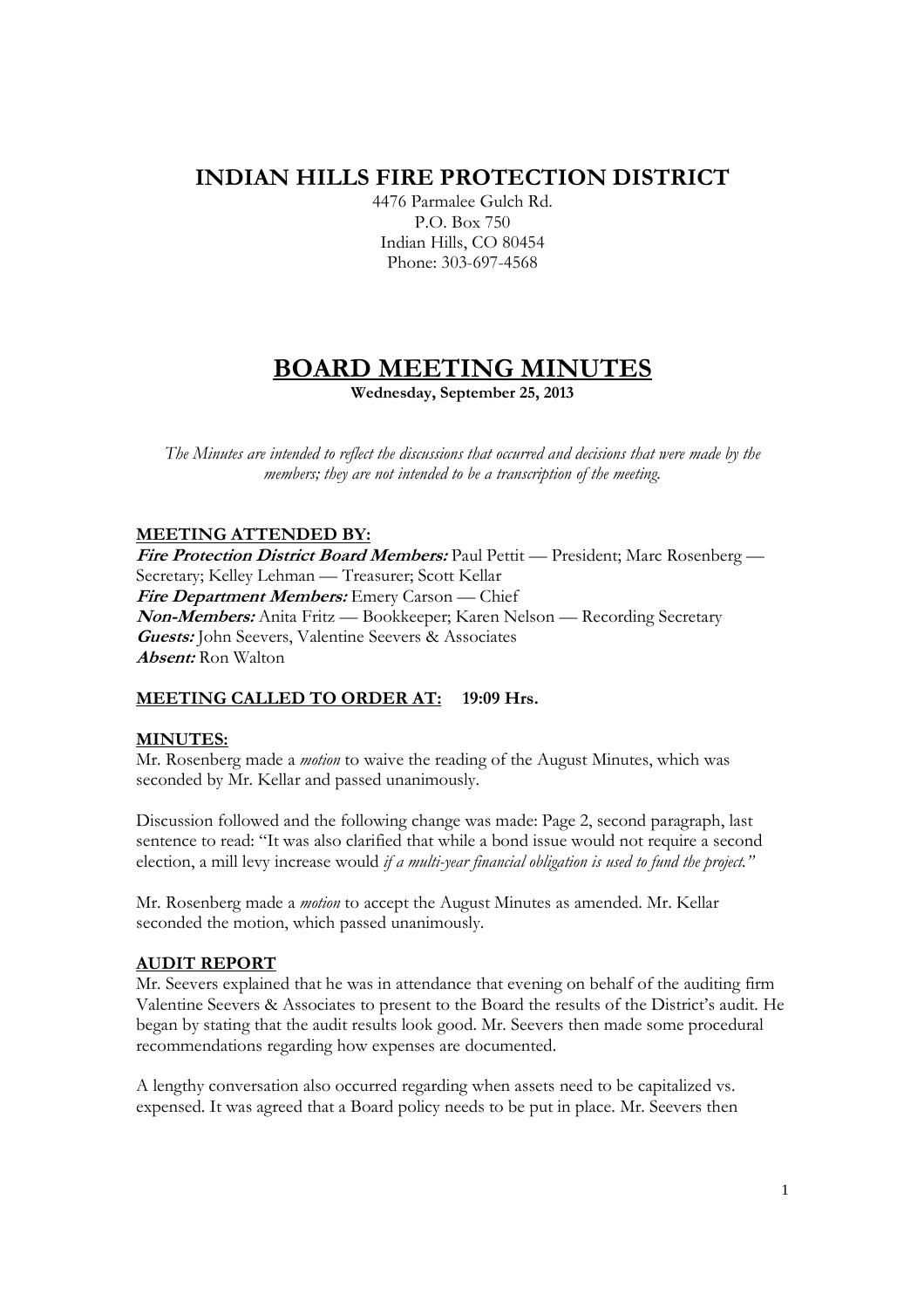# **INDIAN HILLS FIRE PROTECTION DISTRICT**

4476 Parmalee Gulch Rd. P.O. Box 750 Indian Hills, CO 80454 Phone: 303-697-4568

# **BOARD MEETING MINUTES**

**Wednesday, September 25, 2013** 

*The Minutes are intended to reflect the discussions that occurred and decisions that were made by the members; they are not intended to be a transcription of the meeting.* 

## **MEETING ATTENDED BY:**

**Fire Protection District Board Members:** Paul Pettit — President; Marc Rosenberg — Secretary; Kelley Lehman — Treasurer; Scott Kellar **Fire Department Members:** Emery Carson — Chief **Non-Members:** Anita Fritz — Bookkeeper; Karen Nelson — Recording Secretary **Guests:** John Seevers, Valentine Seevers & Associates **Absent:** Ron Walton

# **MEETING CALLED TO ORDER AT: 19:09 Hrs.**

### **MINUTES:**

Mr. Rosenberg made a *motion* to waive the reading of the August Minutes, which was seconded by Mr. Kellar and passed unanimously.

Discussion followed and the following change was made: Page 2, second paragraph, last sentence to read: "It was also clarified that while a bond issue would not require a second election, a mill levy increase would *if a multi-year financial obligation is used to fund the project."* 

Mr. Rosenberg made a *motion* to accept the August Minutes as amended. Mr. Kellar seconded the motion, which passed unanimously.

### **AUDIT REPORT**

Mr. Seevers explained that he was in attendance that evening on behalf of the auditing firm Valentine Seevers & Associates to present to the Board the results of the District's audit. He began by stating that the audit results look good. Mr. Seevers then made some procedural recommendations regarding how expenses are documented.

A lengthy conversation also occurred regarding when assets need to be capitalized vs. expensed. It was agreed that a Board policy needs to be put in place. Mr. Seevers then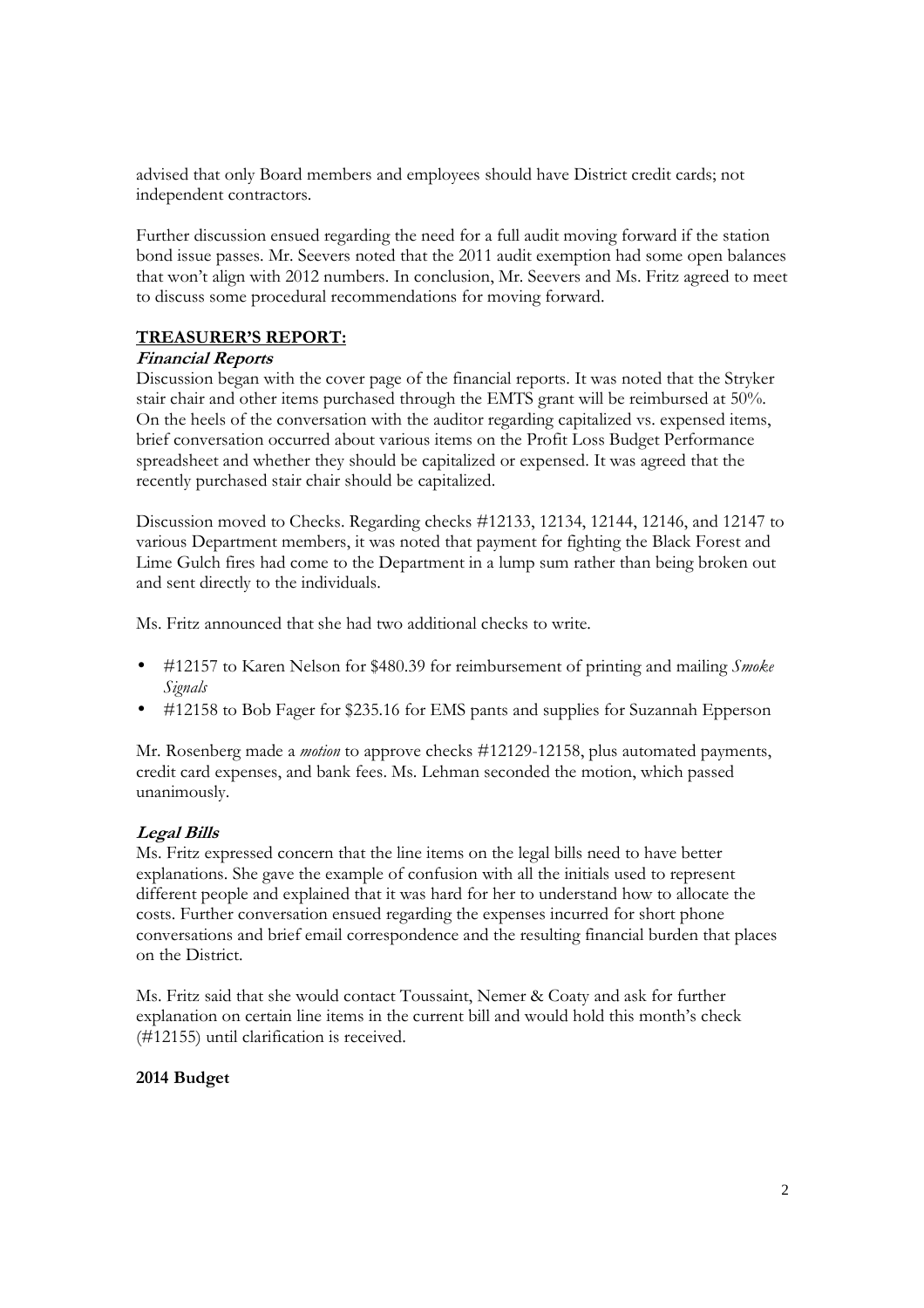advised that only Board members and employees should have District credit cards; not independent contractors.

Further discussion ensued regarding the need for a full audit moving forward if the station bond issue passes. Mr. Seevers noted that the 2011 audit exemption had some open balances that won't align with 2012 numbers. In conclusion, Mr. Seevers and Ms. Fritz agreed to meet to discuss some procedural recommendations for moving forward.

## **TREASURER'S REPORT:**

### **Financial Reports**

Discussion began with the cover page of the financial reports. It was noted that the Stryker stair chair and other items purchased through the EMTS grant will be reimbursed at 50%. On the heels of the conversation with the auditor regarding capitalized vs. expensed items, brief conversation occurred about various items on the Profit Loss Budget Performance spreadsheet and whether they should be capitalized or expensed. It was agreed that the recently purchased stair chair should be capitalized.

Discussion moved to Checks. Regarding checks #12133, 12134, 12144, 12146, and 12147 to various Department members, it was noted that payment for fighting the Black Forest and Lime Gulch fires had come to the Department in a lump sum rather than being broken out and sent directly to the individuals.

Ms. Fritz announced that she had two additional checks to write.

- #12157 to Karen Nelson for \$480.39 for reimbursement of printing and mailing *Smoke Signals*
- #12158 to Bob Fager for \$235.16 for EMS pants and supplies for Suzannah Epperson

Mr. Rosenberg made a *motion* to approve checks #12129-12158, plus automated payments, credit card expenses, and bank fees. Ms. Lehman seconded the motion, which passed unanimously.

# **Legal Bills**

Ms. Fritz expressed concern that the line items on the legal bills need to have better explanations. She gave the example of confusion with all the initials used to represent different people and explained that it was hard for her to understand how to allocate the costs. Further conversation ensued regarding the expenses incurred for short phone conversations and brief email correspondence and the resulting financial burden that places on the District.

Ms. Fritz said that she would contact Toussaint, Nemer & Coaty and ask for further explanation on certain line items in the current bill and would hold this month's check (#12155) until clarification is received.

### **2014 Budget**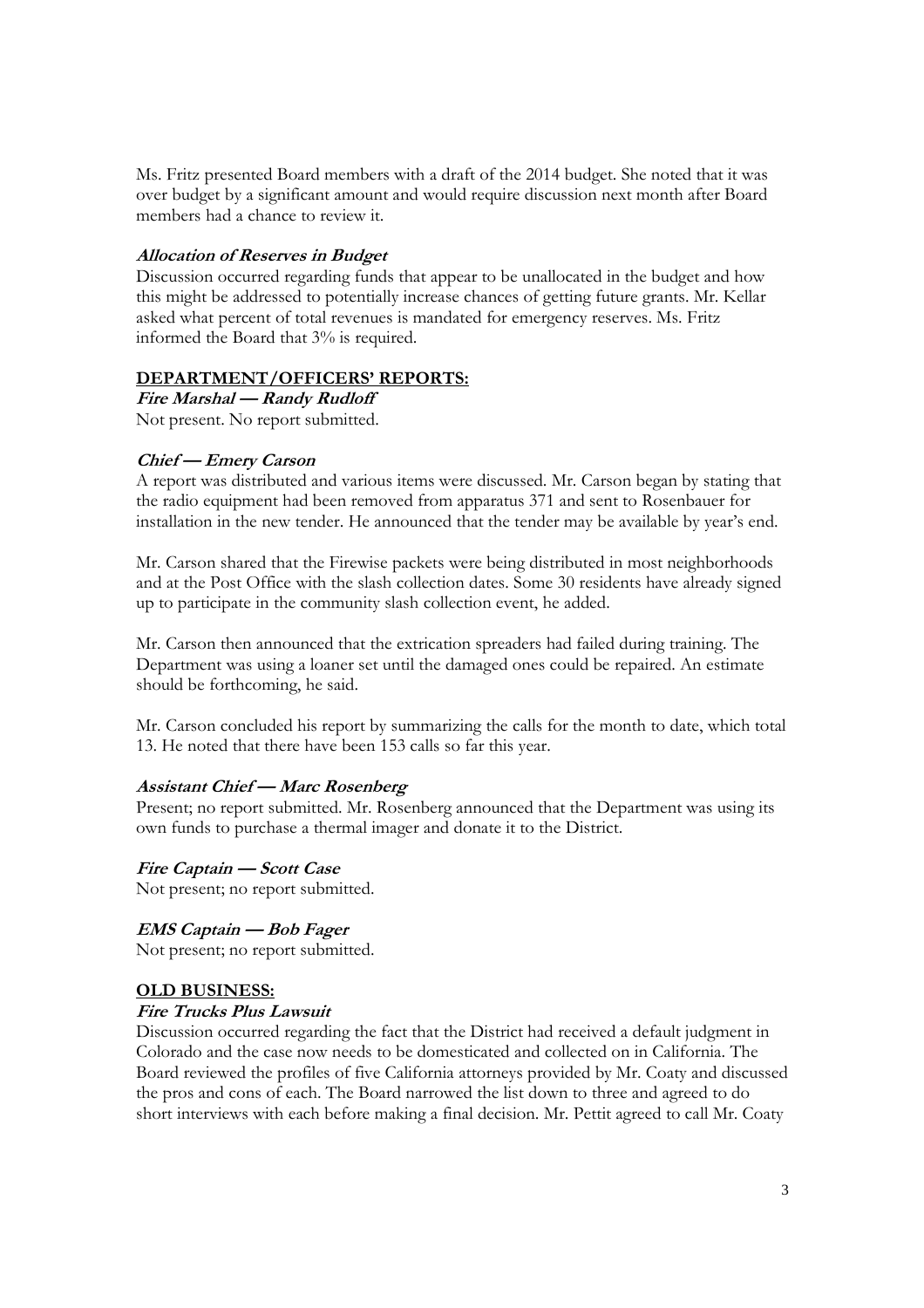Ms. Fritz presented Board members with a draft of the 2014 budget. She noted that it was over budget by a significant amount and would require discussion next month after Board members had a chance to review it.

#### **Allocation of Reserves in Budget**

Discussion occurred regarding funds that appear to be unallocated in the budget and how this might be addressed to potentially increase chances of getting future grants. Mr. Kellar asked what percent of total revenues is mandated for emergency reserves. Ms. Fritz informed the Board that 3% is required.

#### **DEPARTMENT/OFFICERS' REPORTS:**

**Fire Marshal — Randy Rudloff**  Not present. No report submitted.

#### **Chief — Emery Carson**

A report was distributed and various items were discussed. Mr. Carson began by stating that the radio equipment had been removed from apparatus 371 and sent to Rosenbauer for installation in the new tender. He announced that the tender may be available by year's end.

Mr. Carson shared that the Firewise packets were being distributed in most neighborhoods and at the Post Office with the slash collection dates. Some 30 residents have already signed up to participate in the community slash collection event, he added.

Mr. Carson then announced that the extrication spreaders had failed during training. The Department was using a loaner set until the damaged ones could be repaired. An estimate should be forthcoming, he said.

Mr. Carson concluded his report by summarizing the calls for the month to date, which total 13. He noted that there have been 153 calls so far this year.

#### **Assistant Chief — Marc Rosenberg**

Present; no report submitted. Mr. Rosenberg announced that the Department was using its own funds to purchase a thermal imager and donate it to the District.

**Fire Captain — Scott Case**  Not present; no report submitted.

**EMS Captain — Bob Fager**

Not present; no report submitted.

#### **OLD BUSINESS:**

#### **Fire Trucks Plus Lawsuit**

Discussion occurred regarding the fact that the District had received a default judgment in Colorado and the case now needs to be domesticated and collected on in California. The Board reviewed the profiles of five California attorneys provided by Mr. Coaty and discussed the pros and cons of each. The Board narrowed the list down to three and agreed to do short interviews with each before making a final decision. Mr. Pettit agreed to call Mr. Coaty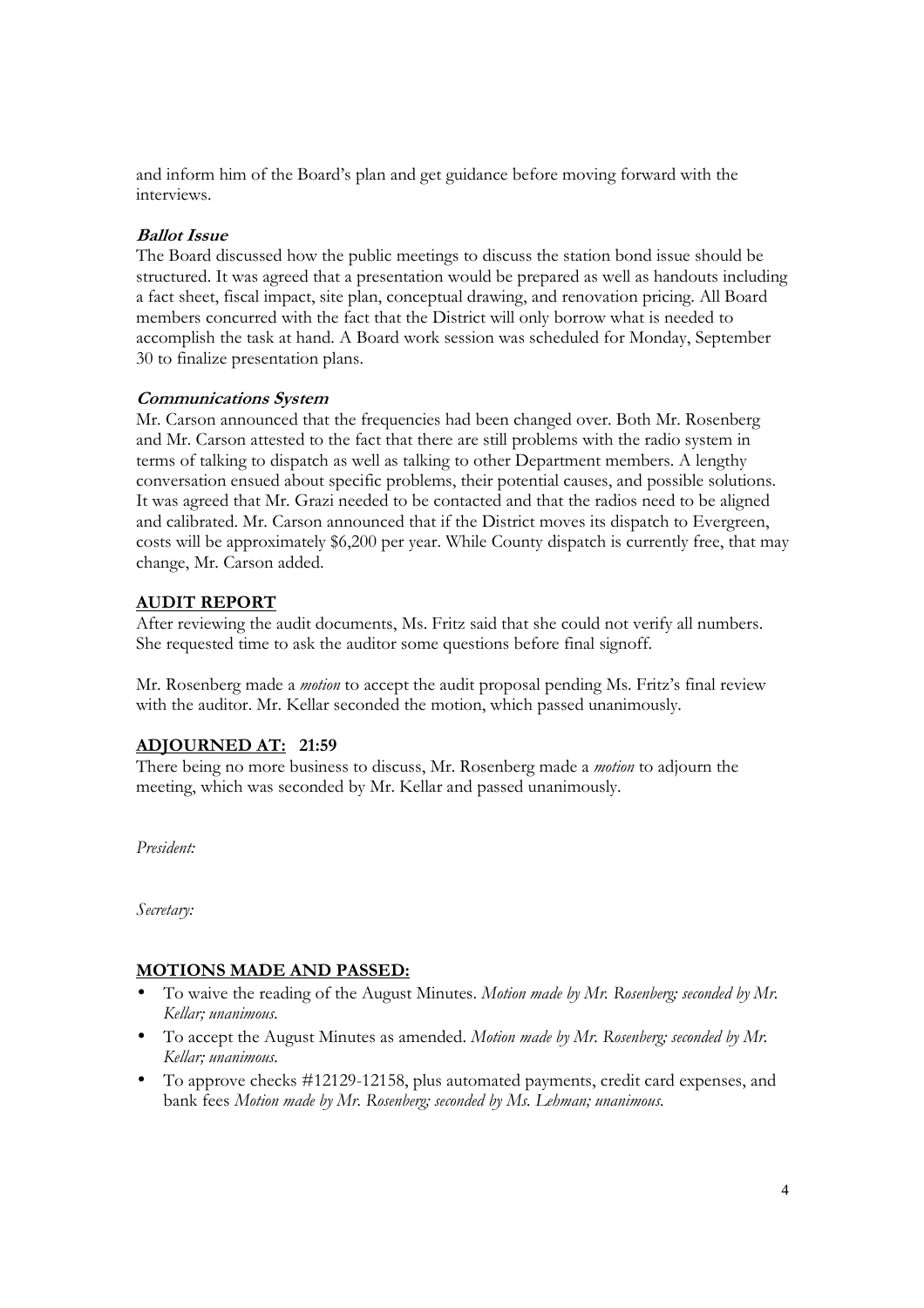and inform him of the Board's plan and get guidance before moving forward with the interviews.

### **Ballot Issue**

The Board discussed how the public meetings to discuss the station bond issue should be structured. It was agreed that a presentation would be prepared as well as handouts including a fact sheet, fiscal impact, site plan, conceptual drawing, and renovation pricing. All Board members concurred with the fact that the District will only borrow what is needed to accomplish the task at hand. A Board work session was scheduled for Monday, September 30 to finalize presentation plans.

### **Communications System**

Mr. Carson announced that the frequencies had been changed over. Both Mr. Rosenberg and Mr. Carson attested to the fact that there are still problems with the radio system in terms of talking to dispatch as well as talking to other Department members. A lengthy conversation ensued about specific problems, their potential causes, and possible solutions. It was agreed that Mr. Grazi needed to be contacted and that the radios need to be aligned and calibrated. Mr. Carson announced that if the District moves its dispatch to Evergreen, costs will be approximately \$6,200 per year. While County dispatch is currently free, that may change, Mr. Carson added.

## **AUDIT REPORT**

After reviewing the audit documents, Ms. Fritz said that she could not verify all numbers. She requested time to ask the auditor some questions before final signoff.

Mr. Rosenberg made a *motion* to accept the audit proposal pending Ms. Fritz's final review with the auditor. Mr. Kellar seconded the motion, which passed unanimously.

# **ADJOURNED AT: 21:59**

There being no more business to discuss, Mr. Rosenberg made a *motion* to adjourn the meeting, which was seconded by Mr. Kellar and passed unanimously.

*President:* 

*Secretary:* 

# **MOTIONS MADE AND PASSED:**

- To waive the reading of the August Minutes. *Motion made by Mr. Rosenberg; seconded by Mr. Kellar; unanimous.*
- To accept the August Minutes as amended. *Motion made by Mr. Rosenberg; seconded by Mr. Kellar; unanimous.*
- To approve checks #12129-12158, plus automated payments, credit card expenses, and bank fees *Motion made by Mr. Rosenberg; seconded by Ms. Lehman; unanimous.*